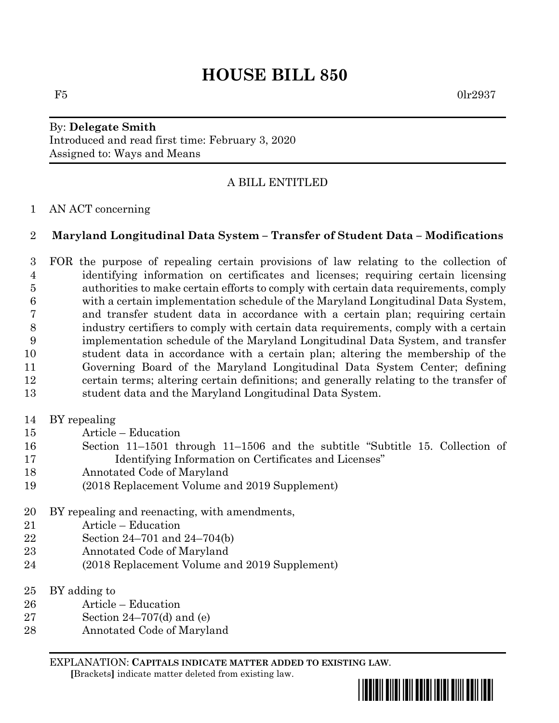# **HOUSE BILL 850**

 $F5$  0lr2937

## By: **Delegate Smith** Introduced and read first time: February 3, 2020 Assigned to: Ways and Means

# A BILL ENTITLED

#### AN ACT concerning

### **Maryland Longitudinal Data System – Transfer of Student Data – Modifications**

 FOR the purpose of repealing certain provisions of law relating to the collection of identifying information on certificates and licenses; requiring certain licensing authorities to make certain efforts to comply with certain data requirements, comply with a certain implementation schedule of the Maryland Longitudinal Data System, and transfer student data in accordance with a certain plan; requiring certain industry certifiers to comply with certain data requirements, comply with a certain implementation schedule of the Maryland Longitudinal Data System, and transfer student data in accordance with a certain plan; altering the membership of the Governing Board of the Maryland Longitudinal Data System Center; defining certain terms; altering certain definitions; and generally relating to the transfer of student data and the Maryland Longitudinal Data System.

- BY repealing
- Article Education
- Section 11–1501 through 11–1506 and the subtitle "Subtitle 15. Collection of Identifying Information on Certificates and Licenses"
- Annotated Code of Maryland
- (2018 Replacement Volume and 2019 Supplement)
- BY repealing and reenacting, with amendments,
- Article Education
- Section 24–701 and 24–704(b)
- Annotated Code of Maryland
- (2018 Replacement Volume and 2019 Supplement)
- BY adding to
- Article Education
- Section 24–707(d) and (e)
- Annotated Code of Maryland

EXPLANATION: **CAPITALS INDICATE MATTER ADDED TO EXISTING LAW**.  **[**Brackets**]** indicate matter deleted from existing law.

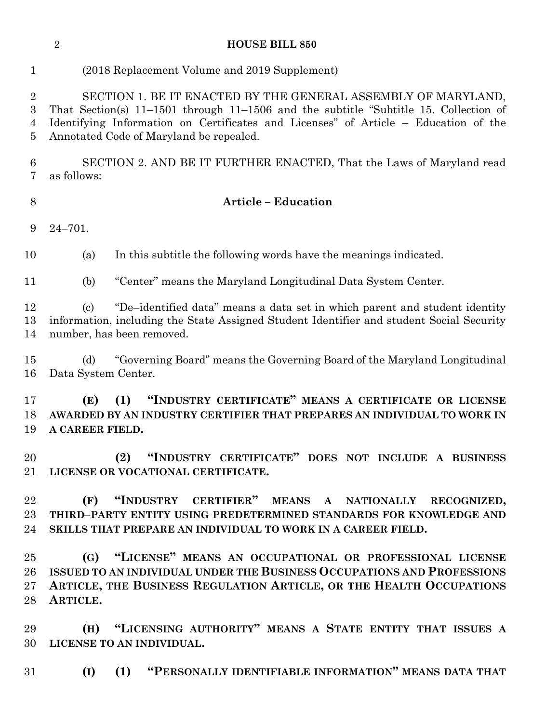#### **HOUSE BILL 850**

### (2018 Replacement Volume and 2019 Supplement)

 SECTION 1. BE IT ENACTED BY THE GENERAL ASSEMBLY OF MARYLAND, That Section(s) 11–1501 through 11–1506 and the subtitle "Subtitle 15. Collection of Identifying Information on Certificates and Licenses" of Article – Education of the Annotated Code of Maryland be repealed.

 SECTION 2. AND BE IT FURTHER ENACTED, That the Laws of Maryland read as follows:

#### **Article – Education**

24–701.

(a) In this subtitle the following words have the meanings indicated.

(b) "Center" means the Maryland Longitudinal Data System Center.

 (c) "De–identified data" means a data set in which parent and student identity information, including the State Assigned Student Identifier and student Social Security number, has been removed.

 (d) "Governing Board" means the Governing Board of the Maryland Longitudinal Data System Center.

 **(E) (1) "INDUSTRY CERTIFICATE" MEANS A CERTIFICATE OR LICENSE AWARDED BY AN INDUSTRY CERTIFIER THAT PREPARES AN INDIVIDUAL TO WORK IN A CAREER FIELD.**

 **(2) "INDUSTRY CERTIFICATE" DOES NOT INCLUDE A BUSINESS LICENSE OR VOCATIONAL CERTIFICATE.**

 **(F) "INDUSTRY CERTIFIER" MEANS A NATIONALLY RECOGNIZED, THIRD–PARTY ENTITY USING PREDETERMINED STANDARDS FOR KNOWLEDGE AND SKILLS THAT PREPARE AN INDIVIDUAL TO WORK IN A CAREER FIELD.**

 **(G) "LICENSE" MEANS AN OCCUPATIONAL OR PROFESSIONAL LICENSE ISSUED TO AN INDIVIDUAL UNDER THE BUSINESS OCCUPATIONS AND PROFESSIONS ARTICLE, THE BUSINESS REGULATION ARTICLE, OR THE HEALTH OCCUPATIONS ARTICLE.**

 **(H) "LICENSING AUTHORITY" MEANS A STATE ENTITY THAT ISSUES A LICENSE TO AN INDIVIDUAL.**

**(I) (1) "PERSONALLY IDENTIFIABLE INFORMATION" MEANS DATA THAT**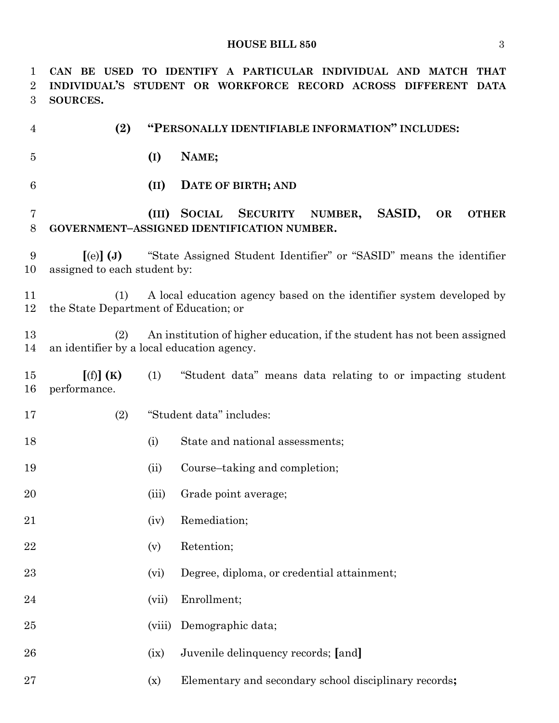| 1<br>2<br>3 | TO IDENTIFY A PARTICULAR INDIVIDUAL AND MATCH<br>CAN BE USED<br><b>THAT</b><br>INDIVIDUAL'S STUDENT OR WORKFORCE RECORD ACROSS DIFFERENT DATA<br>SOURCES. |        |                                                                                                                           |
|-------------|-----------------------------------------------------------------------------------------------------------------------------------------------------------|--------|---------------------------------------------------------------------------------------------------------------------------|
| 4           | (2)                                                                                                                                                       |        | "PERSONALLY IDENTIFIABLE INFORMATION" INCLUDES:                                                                           |
| 5           |                                                                                                                                                           | (I)    | NAME;                                                                                                                     |
| 6           |                                                                                                                                                           | (II)   | DATE OF BIRTH; AND                                                                                                        |
| 7<br>8      |                                                                                                                                                           | (III)  | <b>SOCIAL</b><br><b>SECURITY</b><br>SASID,<br>NUMBER,<br>OR<br><b>OTHER</b><br>GOVERNMENT-ASSIGNED IDENTIFICATION NUMBER. |
| 9<br>10     | "State Assigned Student Identifier" or "SASID" means the identifier<br>$\left[$ (e) $\right]$ (J)<br>assigned to each student by:                         |        |                                                                                                                           |
| 11<br>12    | A local education agency based on the identifier system developed by<br>(1)<br>the State Department of Education; or                                      |        |                                                                                                                           |
| 13<br>14    | An institution of higher education, if the student has not been assigned<br>(2)<br>an identifier by a local education agency.                             |        |                                                                                                                           |
| 15<br>16    | [(f)](K)<br>performance.                                                                                                                                  | (1)    | "Student data" means data relating to or impacting student                                                                |
| 17          | (2)                                                                                                                                                       |        | "Student data" includes:                                                                                                  |
| 18          |                                                                                                                                                           | (i)    | State and national assessments;                                                                                           |
| 19          |                                                                                                                                                           | (ii)   | Course–taking and completion;                                                                                             |
| 20          |                                                                                                                                                           | (iii)  | Grade point average;                                                                                                      |
| 21          |                                                                                                                                                           | (iv)   | Remediation;                                                                                                              |
| 22          |                                                                                                                                                           | (v)    | Retention;                                                                                                                |
| 23          |                                                                                                                                                           | (vi)   | Degree, diploma, or credential attainment;                                                                                |
| 24          |                                                                                                                                                           | (vii)  | Enrollment;                                                                                                               |
| 25          |                                                                                                                                                           | (viii) | Demographic data;                                                                                                         |
| 26          |                                                                                                                                                           | (ix)   | Juvenile delinquency records; [and]                                                                                       |
| $27\,$      |                                                                                                                                                           | (x)    | Elementary and secondary school disciplinary records;                                                                     |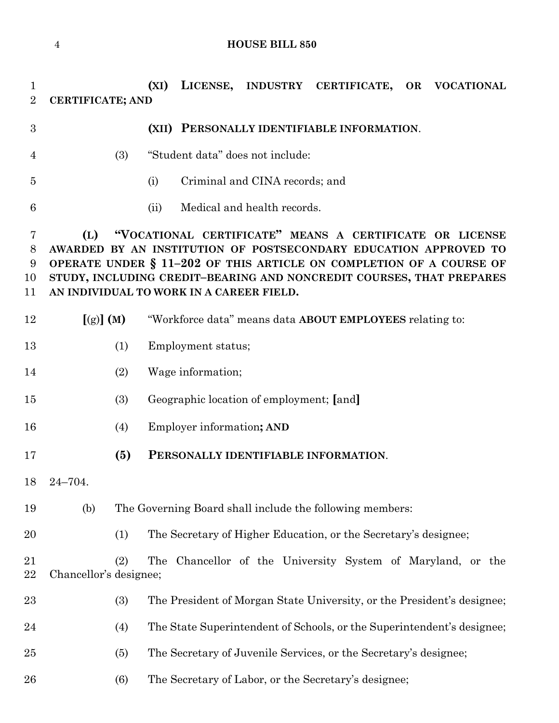**(XI) LICENSE, INDUSTRY CERTIFICATE, OR VOCATIONAL CERTIFICATE; AND (XII) PERSONALLY IDENTIFIABLE INFORMATION**. (3) "Student data" does not include: (i) Criminal and CINA records; and (ii) Medical and health records. **(L) "VOCATIONAL CERTIFICATE" MEANS A CERTIFICATE OR LICENSE AWARDED BY AN INSTITUTION OF POSTSECONDARY EDUCATION APPROVED TO OPERATE UNDER § 11–202 OF THIS ARTICLE ON COMPLETION OF A COURSE OF STUDY, INCLUDING CREDIT–BEARING AND NONCREDIT COURSES, THAT PREPARES AN INDIVIDUAL TO WORK IN A CAREER FIELD.**

- **[**(g)**] (M)** "Workforce data" means data **ABOUT EMPLOYEES** relating to:
- 13 (1) Employment status;
- (2) Wage information;
- (3) Geographic location of employment; **[**and**]**
- (4) Employer information**; AND**
- **(5) PERSONALLY IDENTIFIABLE INFORMATION**.
- 24–704.
- (b) The Governing Board shall include the following members:
- (1) The Secretary of Higher Education, or the Secretary's designee;

 (2) The Chancellor of the University System of Maryland, or the Chancellor's designee;

- (3) The President of Morgan State University, or the President's designee;
- (4) The State Superintendent of Schools, or the Superintendent's designee;
- (5) The Secretary of Juvenile Services, or the Secretary's designee;
- (6) The Secretary of Labor, or the Secretary's designee;